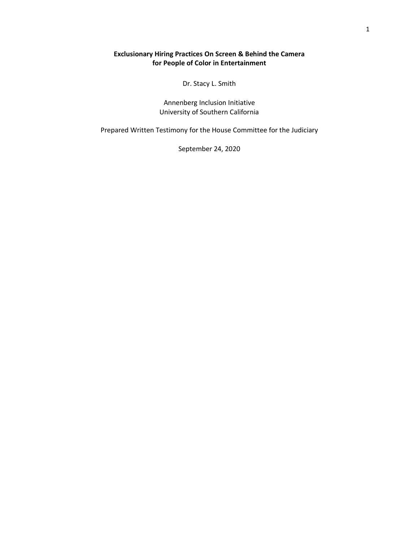# **Exclusionary Hiring Practices On Screen & Behind the Camera for People of Color in Entertainment**

Dr. Stacy L. Smith

Annenberg Inclusion Initiative University of Southern California

Prepared Written Testimony for the House Committee for the Judiciary

September 24, 2020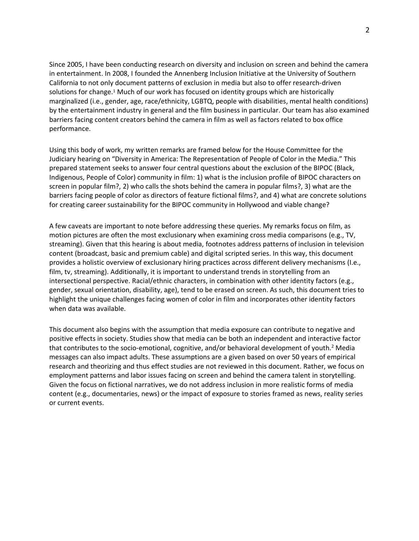Since 2005, I have been conducting research on diversity and inclusion on screen and behind the camera in entertainment. In 2008, I founded the Annenberg Inclusion Initiative at the University of Southern California to not only document patterns of exclusion in media but also to offer research-driven solutions for change. <sup>1</sup> Much of our work has focused on identity groups which are historically marginalized (i.e., gender, age, race/ethnicity, LGBTQ, people with disabilities, mental health conditions) by the entertainment industry in general and the film business in particular. Our team has also examined barriers facing content creators behind the camera in film as well as factors related to box office performance.

Using this body of work, my written remarks are framed below for the House Committee for the Judiciary hearing on "Diversity in America: The Representation of People of Color in the Media." This prepared statement seeks to answer four central questions about the exclusion of the BIPOC (Black, Indigenous, People of Color) community in film: 1) what is the inclusion profile of BIPOC characters on screen in popular film?, 2) who calls the shots behind the camera in popular films?, 3) what are the barriers facing people of color as directors of feature fictional films?, and 4) what are concrete solutions for creating career sustainability for the BIPOC community in Hollywood and viable change?

A few caveats are important to note before addressing these queries. My remarks focus on film, as motion pictures are often the most exclusionary when examining cross media comparisons (e.g., TV, streaming). Given that this hearing is about media, footnotes address patterns of inclusion in television content (broadcast, basic and premium cable) and digital scripted series. In this way, this document provides a holistic overview of exclusionary hiring practices across different delivery mechanisms (I.e., film, tv, streaming). Additionally, it is important to understand trends in storytelling from an intersectional perspective. Racial/ethnic characters, in combination with other identity factors (e.g., gender, sexual orientation, disability, age), tend to be erased on screen. As such, this document tries to highlight the unique challenges facing women of color in film and incorporates other identity factors when data was available.

This document also begins with the assumption that media exposure can contribute to negative and positive effects in society. Studies show that media can be both an independent and interactive factor that contributes to the socio-emotional, cognitive, and/or behavioral development of youth.<sup>2</sup> Media messages can also impact adults. These assumptions are a given based on over 50 years of empirical research and theorizing and thus effect studies are not reviewed in this document. Rather, we focus on employment patterns and labor issues facing on screen and behind the camera talent in storytelling. Given the focus on fictional narratives, we do not address inclusion in more realistic forms of media content (e.g., documentaries, news) or the impact of exposure to stories framed as news, reality series or current events.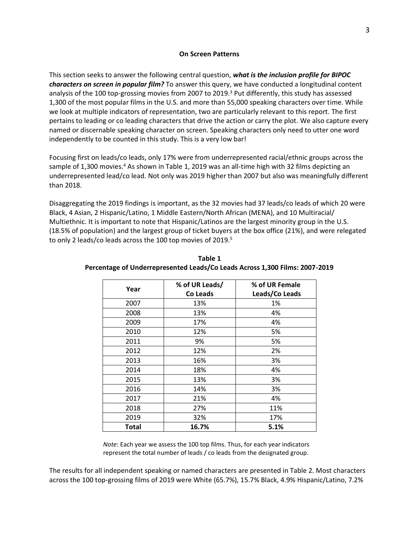#### **On Screen Patterns**

This section seeks to answer the following central question, *what is the inclusion profile for BIPOC characters on screen in popular film?* To answer this query, we have conducted a longitudinal content analysis of the 100 top-grossing movies from 2007 to 2019.<sup>3</sup> Put differently, this study has assessed 1,300 of the most popular films in the U.S. and more than 55,000 speaking characters over time. While we look at multiple indicators of representation, two are particularly relevant to this report. The first pertains to leading or co leading characters that drive the action or carry the plot. We also capture every named or discernable speaking character on screen. Speaking characters only need to utter one word independently to be counted in this study. This is a very low bar!

Focusing first on leads/co leads, only 17% were from underrepresented racial/ethnic groups across the sample of 1,300 movies.<sup>4</sup> As shown in Table 1, 2019 was an all-time high with 32 films depicting an underrepresented lead/co lead. Not only was 2019 higher than 2007 but also was meaningfully different than 2018.

Disaggregating the 2019 findings is important, as the 32 movies had 37 leads/co leads of which 20 were Black, 4 Asian, 2 Hispanic/Latino, 1 Middle Eastern/North African (MENA), and 10 Multiracial/ Multiethnic. It is important to note that Hispanic/Latinos are the largest minority group in the U.S. (18.5% of population) and the largest group of ticket buyers at the box office (21%), and were relegated to only 2 leads/co leads across the 100 top movies of 2019.<sup>5</sup>

| Year  | % of UR Leads/<br>Co Leads | % of UR Female<br>Leads/Co Leads |  |  |
|-------|----------------------------|----------------------------------|--|--|
| 2007  | 13%                        | 1%                               |  |  |
| 2008  | 13%                        | 4%                               |  |  |
| 2009  | 17%                        | 4%                               |  |  |
| 2010  | 12%                        | 5%                               |  |  |
| 2011  | 9%                         | 5%                               |  |  |
| 2012  | 12%                        | 2%                               |  |  |
| 2013  | 16%                        | 3%                               |  |  |
| 2014  | 18%                        | 4%                               |  |  |
| 2015  | 13%                        | 3%                               |  |  |
| 2016  | 14%                        | 3%                               |  |  |
| 2017  | 21%                        | 4%                               |  |  |
| 2018  | 27%                        | 11%                              |  |  |
| 2019  | 32%                        | 17%                              |  |  |
| Total | 16.7%                      | 5.1%                             |  |  |

**Table 1 Percentage of Underrepresented Leads/Co Leads Across 1,300 Films: 2007-2019**

 *Note*: Each year we assess the 100 top films. Thus, for each year indicators represent the total number of leads / co leads from the designated group.

The results for all independent speaking or named characters are presented in Table 2. Most characters across the 100 top-grossing films of 2019 were White (65.7%), 15.7% Black, 4.9% Hispanic/Latino, 7.2%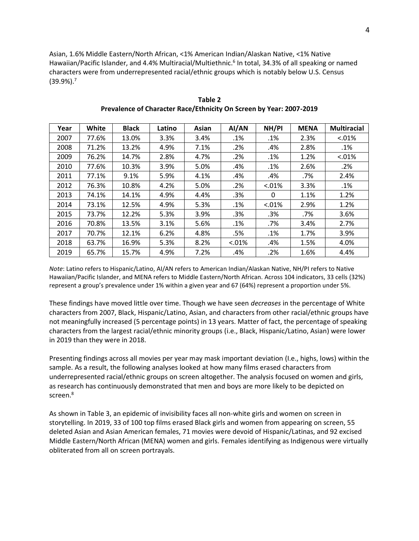Asian, 1.6% Middle Eastern/North African, <1% American Indian/Alaskan Native, <1% Native Hawaiian/Pacific Islander, and 4.4% Multiracial/Multiethnic.<sup>6</sup> In total, 34.3% of all speaking or named characters were from underrepresented racial/ethnic groups which is notably below U.S. Census  $(39.9\%)$ .<sup>7</sup>

| Year | White | <b>Black</b> | Latino | Asian | AI/AN    | NH/PI    | <b>MENA</b> | <b>Multiracial</b> |
|------|-------|--------------|--------|-------|----------|----------|-------------|--------------------|
| 2007 | 77.6% | 13.0%        | 3.3%   | 3.4%  | .1%      | .1%      | 2.3%        | < 0.01%            |
| 2008 | 71.2% | 13.2%        | 4.9%   | 7.1%  | .2%      | .4%      | 2.8%        | .1%                |
| 2009 | 76.2% | 14.7%        | 2.8%   | 4.7%  | .2%      | .1%      | 1.2%        | $< .01\%$          |
| 2010 | 77.6% | 10.3%        | 3.9%   | 5.0%  | .4%      | .1%      | 2.6%        | .2%                |
| 2011 | 77.1% | 9.1%         | 5.9%   | 4.1%  | .4%      | .4%      | .7%         | 2.4%               |
| 2012 | 76.3% | 10.8%        | 4.2%   | 5.0%  | .2%      | < 0.01%  | 3.3%        | .1%                |
| 2013 | 74.1% | 14.1%        | 4.9%   | 4.4%  | .3%      | $\Omega$ | 1.1%        | 1.2%               |
| 2014 | 73.1% | 12.5%        | 4.9%   | 5.3%  | .1%      | < 0.01%  | 2.9%        | 1.2%               |
| 2015 | 73.7% | 12.2%        | 5.3%   | 3.9%  | .3%      | .3%      | .7%         | 3.6%               |
| 2016 | 70.8% | 13.5%        | 3.1%   | 5.6%  | .1%      | .7%      | 3.4%        | 2.7%               |
| 2017 | 70.7% | 12.1%        | 6.2%   | 4.8%  | .5%      | .1%      | 1.7%        | 3.9%               |
| 2018 | 63.7% | 16.9%        | 5.3%   | 8.2%  | $0.01\%$ | .4%      | 1.5%        | 4.0%               |
| 2019 | 65.7% | 15.7%        | 4.9%   | 7.2%  | .4%      | .2%      | 1.6%        | 4.4%               |

**Table 2 Prevalence of Character Race/Ethnicity On Screen by Year: 2007-2019**

*Note*: Latino refers to Hispanic/Latino, AI/AN refers to American Indian/Alaskan Native, NH/PI refers to Native Hawaiian/Pacific Islander, and MENA refers to Middle Eastern/North African. Across 104 indicators, 33 cells (32%) represent a group's prevalence under 1% within a given year and 67 (64%) represent a proportion under 5%.

These findings have moved little over time. Though we have seen *decreases* in the percentage of White characters from 2007, Black, Hispanic/Latino, Asian, and characters from other racial/ethnic groups have not meaningfully increased (5 percentage points) in 13 years. Matter of fact, the percentage of speaking characters from the largest racial/ethnic minority groups (i.e., Black, Hispanic/Latino, Asian) were lower in 2019 than they were in 2018.

Presenting findings across all movies per year may mask important deviation (I.e., highs, lows) within the sample. As a result, the following analyses looked at how many films erased characters from underrepresented racial/ethnic groups on screen altogether. The analysis focused on women and girls, as research has continuously demonstrated that men and boys are more likely to be depicted on screen.<sup>8</sup>

As shown in Table 3, an epidemic of invisibility faces all non-white girls and women on screen in storytelling. In 2019, 33 of 100 top films erased Black girls and women from appearing on screen, 55 deleted Asian and Asian American females, 71 movies were devoid of Hispanic/Latinas, and 92 excised Middle Eastern/North African (MENA) women and girls. Females identifying as Indigenous were virtually obliterated from all on screen portrayals.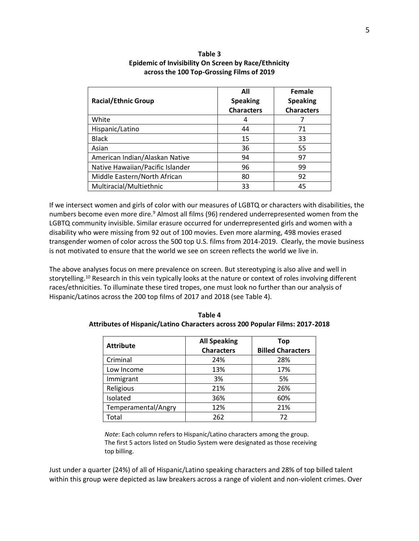| <b>Racial/Ethnic Group</b>       | All<br><b>Speaking</b> | Female<br><b>Speaking</b> |
|----------------------------------|------------------------|---------------------------|
|                                  | <b>Characters</b>      | <b>Characters</b>         |
| White                            | 4                      |                           |
| Hispanic/Latino                  | 44                     | 71                        |
| <b>Black</b>                     | 15                     | 33                        |
| Asian                            | 36                     | 55                        |
| American Indian/Alaskan Native   | 94                     | 97                        |
| Native Hawaiian/Pacific Islander | 96                     | 99                        |
| Middle Eastern/North African     | 80                     | 92                        |
| Multiracial/Multiethnic          | 33                     | 45                        |

**Table 3 Epidemic of Invisibility On Screen by Race/Ethnicity across the 100 Top-Grossing Films of 2019**

If we intersect women and girls of color with our measures of LGBTQ or characters with disabilities, the numbers become even more dire.<sup>9</sup> Almost all films (96) rendered underrepresented women from the LGBTQ community invisible. Similar erasure occurred for underrepresented girls and women with a disability who were missing from 92 out of 100 movies. Even more alarming, 498 movies erased transgender women of color across the 500 top U.S. films from 2014-2019. Clearly, the movie business is not motivated to ensure that the world we see on screen reflects the world we live in.

The above analyses focus on mere prevalence on screen. But stereotyping is also alive and well in storytelling.<sup>10</sup> Research in this vein typically looks at the nature or context of roles involving different races/ethnicities. To illuminate these tired tropes, one must look no further than our analysis of Hispanic/Latinos across the 200 top films of 2017 and 2018 (see Table 4).

| <b>Attribute</b>    | <b>All Speaking</b><br><b>Characters</b> | Top<br><b>Billed Characters</b> |
|---------------------|------------------------------------------|---------------------------------|
| Criminal            | 24%                                      | 28%                             |
| Low Income          | 13%                                      | 17%                             |
| Immigrant           | 3%                                       | 5%                              |
| Religious           | 21%                                      | 26%                             |
| Isolated            | 36%                                      | 60%                             |
| Temperamental/Angry | 12%                                      | 21%                             |
| Total               | 262                                      | 72                              |

**Table 4 Attributes of Hispanic/Latino Characters across 200 Popular Films: 2017-2018**

 *Note*: Each column refers to Hispanic/Latino characters among the group. The first 5 actors listed on Studio System were designated as those receiving top billing.

Just under a quarter (24%) of all of Hispanic/Latino speaking characters and 28% of top billed talent within this group were depicted as law breakers across a range of violent and non-violent crimes. Over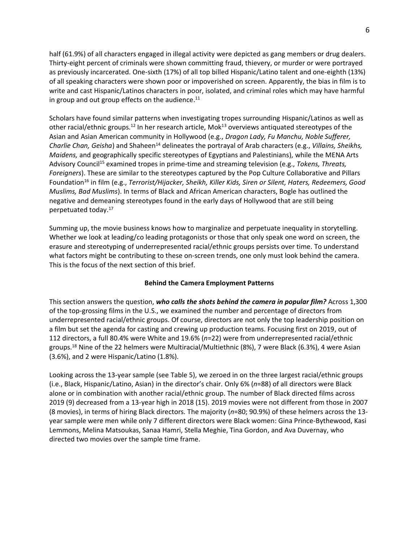half (61.9%) of all characters engaged in illegal activity were depicted as gang members or drug dealers. Thirty-eight percent of criminals were shown committing fraud, thievery, or murder or were portrayed as previously incarcerated. One-sixth (17%) of all top billed Hispanic/Latino talent and one-eighth (13%) of all speaking characters were shown poor or impoverished on screen. Apparently, the bias in film is to write and cast Hispanic/Latinos characters in poor, isolated, and criminal roles which may have harmful in group and out group effects on the audience. $^{11}$ 

Scholars have found similar patterns when investigating tropes surrounding Hispanic/Latinos as well as other racial/ethnic groups.<sup>12</sup> In her research article, Mok<sup>13</sup> overviews antiquated stereotypes of the Asian and Asian American community in Hollywood (e.g., *Dragon Lady, Fu Manchu, Noble Sufferer, Charlie Chan, Geisha*) and Shaheen <sup>14</sup> delineates the portrayal of Arab characters (e.g., *Villains, Sheikhs, Maidens,* and geographically specific stereotypes of Egyptians and Palestinians), while the MENA Arts Advisory Council<sup>15</sup> examined tropes in prime-time and streaming television (e.g., *Tokens, Threats, Foreigners*). These are similar to the stereotypes captured by the Pop Culture Collaborative and Pillars Foundation<sup>16</sup> in film (e.g., *Terrorist/Hijacker, Sheikh, Killer Kids, Siren or Silent, Haters, Redeemers, Good Muslims, Bad Muslims*). In terms of Black and African American characters, Bogle has outlined the negative and demeaning stereotypes found in the early days of Hollywood that are still being perpetuated today.<sup>17</sup>

Summing up, the movie business knows how to marginalize and perpetuate inequality in storytelling. Whether we look at leading/co leading protagonists or those that only speak one word on screen, the erasure and stereotyping of underrepresented racial/ethnic groups persists over time. To understand what factors might be contributing to these on-screen trends, one only must look behind the camera. This is the focus of the next section of this brief.

# **Behind the Camera Employment Patterns**

This section answers the question, *who calls the shots behind the camera in popular film?* Across 1,300 of the top-grossing films in the U.S., we examined the number and percentage of directors from underrepresented racial/ethnic groups. Of course, directors are not only the top leadership position on a film but set the agenda for casting and crewing up production teams. Focusing first on 2019, out of 112 directors, a full 80.4% were White and 19.6% (*n*=22) were from underrepresented racial/ethnic groups.<sup>18</sup> Nine of the 22 helmers were Multiracial/Multiethnic (8%), 7 were Black (6.3%), 4 were Asian (3.6%), and 2 were Hispanic/Latino (1.8%).

Looking across the 13-year sample (see Table 5), we zeroed in on the three largest racial/ethnic groups (i.e., Black, Hispanic/Latino, Asian) in the director's chair. Only 6% (*n*=88) of all directors were Black alone or in combination with another racial/ethnic group. The number of Black directed films across 2019 (9) decreased from a 13-year high in 2018 (15). 2019 movies were not different from those in 2007 (8 movies), in terms of hiring Black directors. The majority (*n*=80; 90.9%) of these helmers across the 13 year sample were men while only 7 different directors were Black women: Gina Prince-Bythewood, Kasi Lemmons, Melina Matsoukas, Sanaa Hamri, Stella Meghie, Tina Gordon, and Ava Duvernay, who directed two movies over the sample time frame.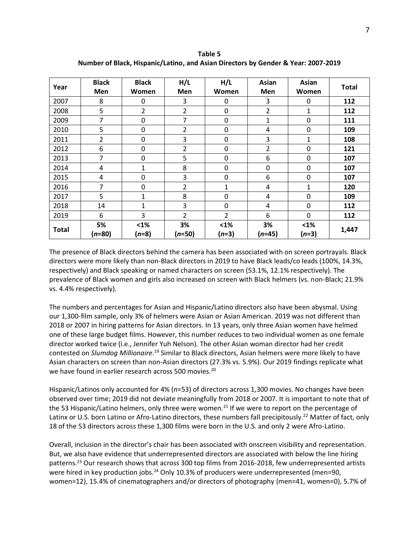**Table 5 Number of Black, Hispanic/Latino, and Asian Directors by Gender & Year: 2007-2019**

| Year         | <b>Black</b><br>Men | <b>Black</b><br>Women | H/L<br>Men     | H/L<br>Women    | Asian<br>Men   | Asian<br>Women  | <b>Total</b> |
|--------------|---------------------|-----------------------|----------------|-----------------|----------------|-----------------|--------------|
| 2007         | 8                   | 0                     | 3              | 0               | 3              | 0               | 112          |
| 2008         | 5                   | $\overline{2}$        | $\overline{2}$ | 0               | $\overline{2}$ | 1               | 112          |
| 2009         | 7                   | 0                     | 7              | 0               | 1              | 0               | 111          |
| 2010         | 5                   | $\mathbf 0$           | $\overline{2}$ | 0               | 4              | $\mathbf 0$     | 109          |
| 2011         | $\overline{2}$      | $\pmb{0}$             | 3              | 0               | 3              | $\mathbf{1}$    | 108          |
| 2012         | 6                   | $\pmb{0}$             | $\overline{2}$ | 0               | $\overline{2}$ | 0               | 121          |
| 2013         | 7                   | $\pmb{0}$             | 5              | 0               | 6              | $\mathbf 0$     | 107          |
| 2014         | 4                   | 1                     | 8              | 0               | 0              | 0               | 107          |
| 2015         | 4                   | 0                     | 3              | 0               | 6              | 0               | 107          |
| 2016         | $\overline{7}$      | 0                     | $\overline{2}$ | $\mathbf{1}$    | 4              | 1               | 120          |
| 2017         | 5                   | 1                     | 8              | 0               | 4              | $\mathbf 0$     | 109          |
| 2018         | 14                  | 1                     | 3              | 0               | 4              | 0               | 112          |
| 2019         | 6                   | 3                     | $\overline{2}$ | 2               | 6              | 0               | 112          |
| <b>Total</b> | 5%<br>$(n=80)$      | $1%$<br>$(n=8)$       | 3%<br>$(n=50)$ | $1%$<br>$(n=3)$ | 3%<br>$(n=45)$ | $1%$<br>$(n=3)$ | 1,447        |

The presence of Black directors behind the camera has been associated with on screen portrayals. Black directors were more likely than non-Black directors in 2019 to have Black leads/co leads (100%, 14.3%, respectively) and Black speaking or named characters on screen (53.1%, 12.1% respectively). The prevalence of Black women and girls also increased on screen with Black helmers (vs. non-Black; 21.9% vs. 4.4% respectively).

The numbers and percentages for Asian and Hispanic/Latino directors also have been abysmal. Using our 1,300-film sample, only 3% of helmers were Asian or Asian American. 2019 was not different than 2018 or 2007 in hiring patterns for Asian directors. In 13 years, only three Asian women have helmed one of these large budget films. However, this number reduces to two individual women as one female director worked twice (i.e., Jennifer Yuh Nelson). The other Asian woman director had her credit contested on *Slumdog Millionaire*. <sup>19</sup> Similar to Black directors, Asian helmers were more likely to have Asian characters on screen than non-Asian directors (27.3% vs. 5.9%). Our 2019 findings replicate what we have found in earlier research across 500 movies.<sup>20</sup>

Hispanic/Latinos only accounted for 4% (*n*=53) of directors across 1,300 movies. No changes have been observed over time; 2019 did not deviate meaningfully from 2018 or 2007. It is important to note that of the 53 Hispanic/Latino helmers, only three were women.<sup>21</sup> If we were to report on the percentage of Latinx or U.S. born Latino or Afro-Latino directors, these numbers fall precipitously.<sup>22</sup> Matter of fact, only 18 of the 53 directors across these 1,300 films were born in the U.S. and only 2 were Afro-Latino.

Overall, inclusion in the director's chair has been associated with onscreen visibility and representation. But, we also have evidence that underrepresented directors are associated with below the line hiring patterns. <sup>23</sup> Our research shows that across 300 top films from 2016-2018, few underrepresented artists were hired in key production jobs.<sup>24</sup> Only 10.3% of producers were underrepresented (men=90, women=12), 15.4% of cinematographers and/or directors of photography (men=41, women=0), 5.7% of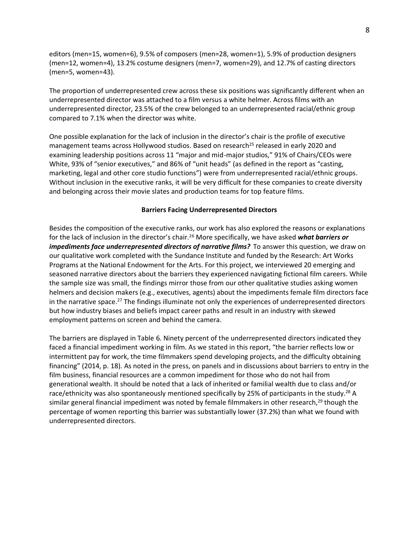editors (men=15, women=6), 9.5% of composers (men=28, women=1), 5.9% of production designers (men=12, women=4), 13.2% costume designers (men=7, women=29), and 12.7% of casting directors (men=5, women=43).

The proportion of underrepresented crew across these six positions was significantly different when an underrepresented director was attached to a film versus a white helmer. Across films with an underrepresented director, 23.5% of the crew belonged to an underrepresented racial/ethnic group compared to 7.1% when the director was white.

One possible explanation for the lack of inclusion in the director's chair is the profile of executive management teams across Hollywood studios. Based on research<sup>25</sup> released in early 2020 and examining leadership positions across 11 "major and mid-major studios," 91% of Chairs/CEOs were White, 93% of "senior executives," and 86% of "unit heads" (as defined in the report as "casting, marketing, legal and other core studio functions") were from underrepresented racial/ethnic groups. Without inclusion in the executive ranks, it will be very difficult for these companies to create diversity and belonging across their movie slates and production teams for top feature films.

#### **Barriers Facing Underrepresented Directors**

Besides the composition of the executive ranks, our work has also explored the reasons or explanations for the lack of inclusion in the director's chair.<sup>26</sup> More specifically, we have asked *what barriers or impediments face underrepresented directors of narrative films?* To answer this question, we draw on our qualitative work completed with the Sundance Institute and funded by the Research: Art Works Programs at the National Endowment for the Arts. For this project, we interviewed 20 emerging and seasoned narrative directors about the barriers they experienced navigating fictional film careers. While the sample size was small, the findings mirror those from our other qualitative studies asking women helmers and decision makers (e.g., executives, agents) about the impediments female film directors face in the narrative space.<sup>27</sup> The findings illuminate not only the experiences of underrepresented directors but how industry biases and beliefs impact career paths and result in an industry with skewed employment patterns on screen and behind the camera.

The barriers are displayed in Table 6. Ninety percent of the underrepresented directors indicated they faced a financial impediment working in film. As we stated in this report, "the barrier reflects low or intermittent pay for work, the time filmmakers spend developing projects, and the difficulty obtaining financing" (2014, p. 18). As noted in the press, on panels and in discussions about barriers to entry in the film business, financial resources are a common impediment for those who do not hail from generational wealth. It should be noted that a lack of inherited or familial wealth due to class and/or race/ethnicity was also spontaneously mentioned specifically by 25% of participants in the study.<sup>28</sup> A similar general financial impediment was noted by female filmmakers in other research,<sup>29</sup> though the percentage of women reporting this barrier was substantially lower (37.2%) than what we found with underrepresented directors.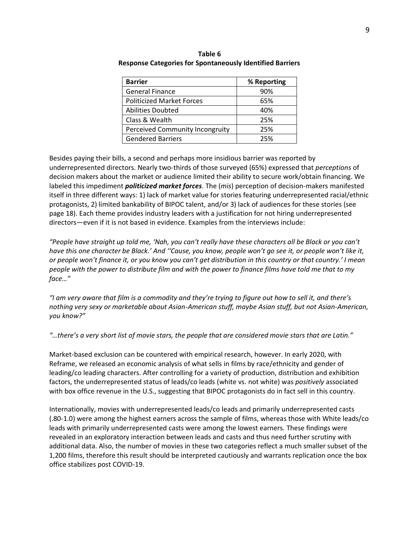| <b>Barrier</b>                   | % Reporting |
|----------------------------------|-------------|
| <b>General Finance</b>           | 90%         |
| <b>Politicized Market Forces</b> | 65%         |
| <b>Abilities Doubted</b>         | 40%         |
| Class & Wealth                   | 25%         |
| Perceived Community Incongruity  | 25%         |
| <b>Gendered Barriers</b>         | 25%         |

**Table 6 Response Categories for Spontaneously Identified Barriers**

Besides paying their bills, a second and perhaps more insidious barrier was reported by underrepresented directors. Nearly two-thirds of those surveyed (65%) expressed that *perceptions* of decision makers about the market or audience limited their ability to secure work/obtain financing. We labeled this impediment *politicized market forces*. The (*mis*) perception of decision-makers manifested itself in three different ways: 1) lack of market value for stories featuring underrepresented racial/ethnic protagonists, 2) limited bankability of BIPOC talent, and/or 3) lack of audiences for these stories (see page 18). Each theme provides industry leaders with a justification for not hiring underrepresented directors—even if it is not based in evidence. Examples from the interviews include:

*"People have straight up told me, 'Nah, you can't really have these characters all be Black or you can't have this one character be Black.' And ''Cause, you know, people won't go see it, or people won't like it, or people won't finance it, or you know you can't get distribution in this country or that country.' I mean people with the power to distribute film and with the power to finance films have told me that to my face…"*

*"I am very aware that film is a commodity and they're trying to figure out how to sell it, and there's nothing very sexy or marketable about Asian-American stuff, maybe Asian stuff, but not Asian-American, you know?"* 

*"…there's a very short list of movie stars, the people that are considered movie stars that are Latin."* 

Market-based exclusion can be countered with empirical research, however. In early 2020, with Reframe, we released an economic analysis of what sells in films by race/ethnicity and gender of leading/co leading characters. After controlling for a variety of production, distribution and exhibition factors, the underrepresented status of leads/co leads (white vs. not white) was *positively* associated with box office revenue in the U.S., suggesting that BIPOC protagonists do in fact sell in this country.

Internationally, movies with underrepresented leads/co leads and primarily underrepresented casts (.80-1.0) were among the highest earners across the sample of films, whereas those with White leads/co leads with primarily underrepresented casts were among the lowest earners. These findings were revealed in an exploratory interaction between leads and casts and thus need further scrutiny with additional data. Also, the number of movies in these two categories reflect a much smaller subset of the 1,200 films, therefore this result should be interpreted cautiously and warrants replication once the box office stabilizes post COVID-19.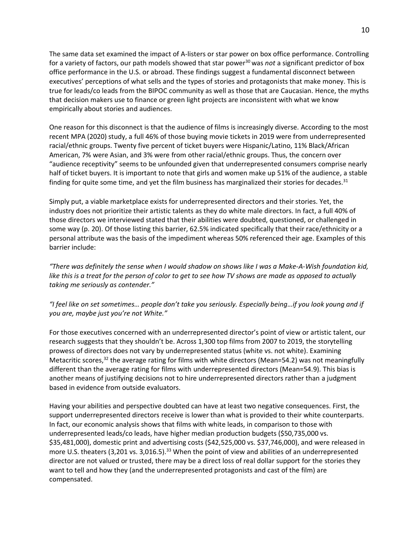The same data set examined the impact of A-listers or star power on box office performance. Controlling for a variety of factors, our path models showed that star power<sup>30</sup> was *not* a significant predictor of box office performance in the U.S. or abroad. These findings suggest a fundamental disconnect between executives' perceptions of what sells and the types of stories and protagonists that make money. This is true for leads/co leads from the BIPOC community as well as those that are Caucasian. Hence, the myths that decision makers use to finance or green light projects are inconsistent with what we know empirically about stories and audiences.

One reason for this disconnect is that the audience of films is increasingly diverse. According to the most recent MPA (2020) study, a full 46% of those buying movie tickets in 2019 were from underrepresented racial/ethnic groups. Twenty five percent of ticket buyers were Hispanic/Latino, 11% Black/African American, 7% were Asian, and 3% were from other racial/ethnic groups. Thus, the concern over "audience receptivity" seems to be unfounded given that underrepresented consumers comprise nearly half of ticket buyers. It is important to note that girls and women make up 51% of the audience, a stable finding for quite some time, and yet the film business has marginalized their stories for decades. $31$ 

Simply put, a viable marketplace exists for underrepresented directors and their stories. Yet, the industry does not prioritize their artistic talents as they do white male directors. In fact, a full 40% of those directors we interviewed stated that their abilities were doubted, questioned, or challenged in some way (p. 20). Of those listing this barrier, 62.5% indicated specifically that their race/ethnicity or a personal attribute was the basis of the impediment whereas 50% referenced their age. Examples of this barrier include:

*"There was definitely the sense when I would shadow on shows like I was a Make-A-Wish foundation kid, like this is a treat for the person of color to get to see how TV shows are made as opposed to actually taking me seriously as contender."* 

*"I feel like on set sometimes… people don't take you seriously. Especially being…if you look young and if you are, maybe just you're not White."* 

For those executives concerned with an underrepresented director's point of view or artistic talent, our research suggests that they shouldn't be. Across 1,300 top films from 2007 to 2019, the storytelling prowess of directors does not vary by underrepresented status (white vs. not white). Examining Metacritic scores,<sup>32</sup> the average rating for films with white directors (Mean=54.2) was not meaningfully different than the average rating for films with underrepresented directors (Mean=54.9). This bias is another means of justifying decisions not to hire underrepresented directors rather than a judgment based in evidence from outside evaluators.

Having your abilities and perspective doubted can have at least two negative consequences. First, the support underrepresented directors receive is lower than what is provided to their white counterparts. In fact, our economic analysis shows that films with white leads, in comparison to those with underrepresented leads/co leads, have higher median production budgets (\$50,735,000 vs. \$35,481,000), domestic print and advertising costs (\$42,525,000 vs. \$37,746,000), and were released in more U.S. theaters (3,201 vs. 3,016.5).<sup>33</sup> When the point of view and abilities of an underrepresented director are not valued or trusted, there may be a direct loss of real dollar support for the stories they want to tell and how they (and the underrepresented protagonists and cast of the film) are compensated.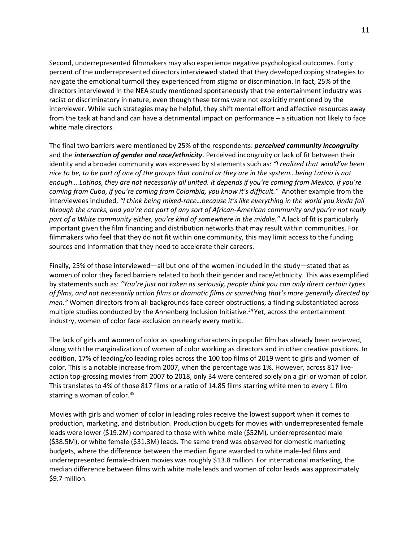Second, underrepresented filmmakers may also experience negative psychological outcomes. Forty percent of the underrepresented directors interviewed stated that they developed coping strategies to navigate the emotional turmoil they experienced from stigma or discrimination. In fact, 25% of the directors interviewed in the NEA study mentioned spontaneously that the entertainment industry was racist or discriminatory in nature, even though these terms were not explicitly mentioned by the interviewer. While such strategies may be helpful, they shift mental effort and affective resources away from the task at hand and can have a detrimental impact on performance – a situation not likely to face white male directors.

The final two barriers were mentioned by 25% of the respondents: *perceived community incongruity* and the *intersection of gender and race/ethnicity*. Perceived incongruity or lack of fit between their identity and a broader community was expressed by statements such as: *"I realized that would've been nice to be, to be part of one of the groups that control or they are in the system…being Latino is not enough….Latinos, they are not necessarily all united. It depends if you're coming from Mexico, if you're coming from Cuba, if you're coming from Colombia, you know it's difficult."* Another example from the interviewees included, *"I think being mixed-race…because it's like everything in the world you kinda fall through the cracks, and you're not part of any sort of African-American community and you're not really part of a White community either, you're kind of somewhere in the middle."* A lack of fit is particularly important given the film financing and distribution networks that may result within communities. For filmmakers who feel that they do not fit within one community, this may limit access to the funding sources and information that they need to accelerate their careers.

Finally, 25% of those interviewed—all but one of the women included in the study—stated that as women of color they faced barriers related to both their gender and race/ethnicity. This was exemplified by statements such as: *"You're just not taken as seriously, people think you can only direct certain types of films, and not necessarily action films or dramatic films or something that's more generally directed by men."* Women directors from all backgrounds face career obstructions, a finding substantiated across multiple studies conducted by the Annenberg Inclusion Initiative.<sup>34</sup> Yet, across the entertainment industry, women of color face exclusion on nearly every metric.

The lack of girls and women of color as speaking characters in popular film has already been reviewed, along with the marginalization of women of color working as directors and in other creative positions. In addition, 17% of leading/co leading roles across the 100 top films of 2019 went to girls and women of color. This is a notable increase from 2007, when the percentage was 1%. However, across 817 liveaction top-grossing movies from 2007 to 2018, only 34 were centered solely on a girl or woman of color. This translates to 4% of those 817 films or a ratio of 14.85 films starring white men to every 1 film starring a woman of color. 35

Movies with girls and women of color in leading roles receive the lowest support when it comes to production, marketing, and distribution. Production budgets for movies with underrepresented female leads were lower (\$19.2M) compared to those with white male (\$52M), underrepresented male (\$38.5M), or white female (\$31.3M) leads. The same trend was observed for domestic marketing budgets, where the difference between the median figure awarded to white male-led films and underrepresented female-driven movies was roughly \$13.8 million. For international marketing, the median difference between films with white male leads and women of color leads was approximately \$9.7 million.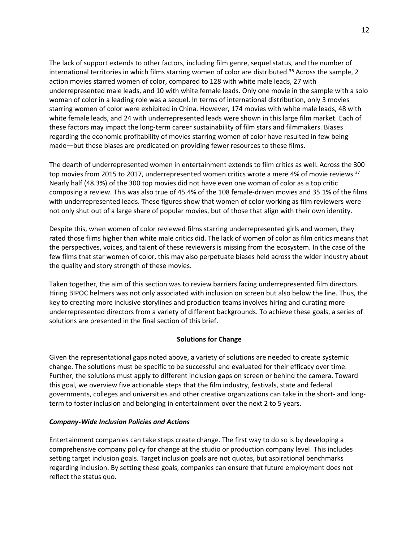The lack of support extends to other factors, including film genre, sequel status, and the number of international territories in which films starring women of color are distributed.<sup>36</sup> Across the sample, 2 action movies starred women of color, compared to 128 with white male leads, 27 with underrepresented male leads, and 10 with white female leads. Only one movie in the sample with a solo woman of color in a leading role was a sequel. In terms of international distribution, only 3 movies starring women of color were exhibited in China. However, 174 movies with white male leads, 48 with white female leads, and 24 with underrepresented leads were shown in this large film market. Each of these factors may impact the long-term career sustainability of film stars and filmmakers. Biases regarding the economic profitability of movies starring women of color have resulted in few being made—but these biases are predicated on providing fewer resources to these films.

The dearth of underrepresented women in entertainment extends to film critics as well. Across the 300 top movies from 2015 to 2017, underrepresented women critics wrote a mere 4% of movie reviews.<sup>37</sup> Nearly half (48.3%) of the 300 top movies did not have even one woman of color as a top critic composing a review. This was also true of 45.4% of the 108 female-driven movies and 35.1% of the films with underrepresented leads. These figures show that women of color working as film reviewers were not only shut out of a large share of popular movies, but of those that align with their own identity.

Despite this, when women of color reviewed films starring underrepresented girls and women, they rated those films higher than white male critics did. The lack of women of color as film critics means that the perspectives, voices, and talent of these reviewers is missing from the ecosystem. In the case of the few films that star women of color, this may also perpetuate biases held across the wider industry about the quality and story strength of these movies.

Taken together, the aim of this section was to review barriers facing underrepresented film directors. Hiring BIPOC helmers was not only associated with inclusion on screen but also below the line. Thus, the key to creating more inclusive storylines and production teams involves hiring and curating more underrepresented directors from a variety of different backgrounds. To achieve these goals, a series of solutions are presented in the final section of this brief.

# **Solutions for Change**

Given the representational gaps noted above, a variety of solutions are needed to create systemic change. The solutions must be specific to be successful and evaluated for their efficacy over time. Further, the solutions must apply to different inclusion gaps on screen or behind the camera. Toward this goal, we overview five actionable steps that the film industry, festivals, state and federal governments, colleges and universities and other creative organizations can take in the short- and longterm to foster inclusion and belonging in entertainment over the next 2 to 5 years.

#### *Company-Wide Inclusion Policies and Actions*

Entertainment companies can take steps create change. The first way to do so is by developing a comprehensive company policy for change at the studio or production company level. This includes setting target inclusion goals. Target inclusion goals are not quotas, but aspirational benchmarks regarding inclusion. By setting these goals, companies can ensure that future employment does not reflect the status quo.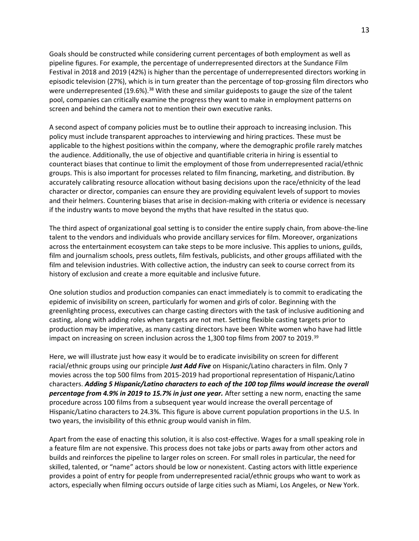Goals should be constructed while considering current percentages of both employment as well as pipeline figures. For example, the percentage of underrepresented directors at the Sundance Film Festival in 2018 and 2019 (42%) is higher than the percentage of underrepresented directors working in episodic television (27%), which is in turn greater than the percentage of top-grossing film directors who were underrepresented (19.6%).<sup>38</sup> With these and similar guideposts to gauge the size of the talent pool, companies can critically examine the progress they want to make in employment patterns on screen and behind the camera not to mention their own executive ranks.

A second aspect of company policies must be to outline their approach to increasing inclusion. This policy must include transparent approaches to interviewing and hiring practices. These must be applicable to the highest positions within the company, where the demographic profile rarely matches the audience. Additionally, the use of objective and quantifiable criteria in hiring is essential to counteract biases that continue to limit the employment of those from underrepresented racial/ethnic groups. This is also important for processes related to film financing, marketing, and distribution. By accurately calibrating resource allocation without basing decisions upon the race/ethnicity of the lead character or director, companies can ensure they are providing equivalent levels of support to movies and their helmers. Countering biases that arise in decision-making with criteria or evidence is necessary if the industry wants to move beyond the myths that have resulted in the status quo.

The third aspect of organizational goal setting is to consider the entire supply chain, from above-the-line talent to the vendors and individuals who provide ancillary services for film. Moreover, organizations across the entertainment ecosystem can take steps to be more inclusive. This applies to unions, guilds, film and journalism schools, press outlets, film festivals, publicists, and other groups affiliated with the film and television industries. With collective action, the industry can seek to course correct from its history of exclusion and create a more equitable and inclusive future.

One solution studios and production companies can enact immediately is to commit to eradicating the epidemic of invisibility on screen, particularly for women and girls of color. Beginning with the greenlighting process, executives can charge casting directors with the task of inclusive auditioning and casting, along with adding roles when targets are not met. Setting flexible casting targets prior to production may be imperative, as many casting directors have been White women who have had little impact on increasing on screen inclusion across the 1,300 top films from 2007 to 2019.<sup>39</sup>

Here, we will illustrate just how easy it would be to eradicate invisibility on screen for different racial/ethnic groups using our principle *Just Add Five* on Hispanic/Latino characters in film. Only 7 movies across the top 500 films from 2015-2019 had proportional representation of Hispanic/Latino characters. *Adding 5 Hispanic/Latino characters to each of the 100 top films would increase the overall percentage from 4.9% in 2019 to 15.7% in just one year.* After setting a new norm, enacting the same procedure across 100 films from a subsequent year would increase the overall percentage of Hispanic/Latino characters to 24.3%. This figure is above current population proportions in the U.S. In two years, the invisibility of this ethnic group would vanish in film.

Apart from the ease of enacting this solution, it is also cost-effective. Wages for a small speaking role in a feature film are not expensive. This process does not take jobs or parts away from other actors and builds and reinforces the pipeline to larger roles on screen. For small roles in particular, the need for skilled, talented, or "name" actors should be low or nonexistent. Casting actors with little experience provides a point of entry for people from underrepresented racial/ethnic groups who want to work as actors, especially when filming occurs outside of large cities such as Miami, Los Angeles, or New York.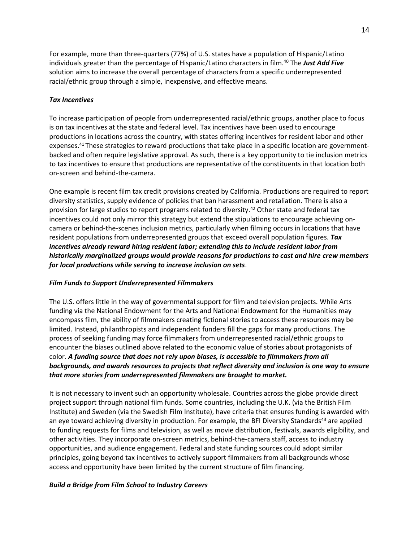For example, more than three-quarters (77%) of U.S. states have a population of Hispanic/Latino individuals greater than the percentage of Hispanic/Latino characters in film.<sup>40</sup> The *Just Add Five*  solution aims to increase the overall percentage of characters from a specific underrepresented racial/ethnic group through a simple, inexpensive, and effective means.

### *Tax Incentives*

To increase participation of people from underrepresented racial/ethnic groups, another place to focus is on tax incentives at the state and federal level. Tax incentives have been used to encourage productions in locations across the country, with states offering incentives for resident labor and other expenses.<sup>41</sup> These strategies to reward productions that take place in a specific location are governmentbacked and often require legislative approval. As such, there is a key opportunity to tie inclusion metrics to tax incentives to ensure that productions are representative of the constituents in that location both on-screen and behind-the-camera.

One example is recent film tax credit provisions created by California. Productions are required to report diversity statistics, supply evidence of policies that ban harassment and retaliation. There is also a provision for large studios to report programs related to diversity.<sup>42</sup> Other state and federal tax incentives could not only mirror this strategy but extend the stipulations to encourage achieving oncamera or behind-the-scenes inclusion metrics, particularly when filming occurs in locations that have resident populations from underrepresented groups that exceed overall population figures. *Tax incentives already reward hiring resident labor; extending this to include resident labor from historically marginalized groups would provide reasons for productions to cast and hire crew members for local productions while serving to increase inclusion on sets*.

#### *Film Funds to Support Underrepresented Filmmakers*

The U.S. offers little in the way of governmental support for film and television projects. While Arts funding via the National Endowment for the Arts and National Endowment for the Humanities may encompass film, the ability of filmmakers creating fictional stories to access these resources may be limited. Instead, philanthropists and independent funders fill the gaps for many productions. The process of seeking funding may force filmmakers from underrepresented racial/ethnic groups to encounter the biases outlined above related to the economic value of stories about protagonists of color. *A funding source that does not rely upon biases, is accessible to filmmakers from all backgrounds, and awards resources to projects that reflect diversity and inclusion is one way to ensure that more stories from underrepresented filmmakers are brought to market.*

It is not necessary to invent such an opportunity wholesale. Countries across the globe provide direct project support through national film funds. Some countries, including the U.K. (via the British Film Institute) and Sweden (via the Swedish Film Institute), have criteria that ensures funding is awarded with an eye toward achieving diversity in production. For example, the BFI Diversity Standards<sup>43</sup> are applied to funding requests for films and television, as well as movie distribution, festivals, awards eligibility, and other activities. They incorporate on-screen metrics, behind-the-camera staff, access to industry opportunities, and audience engagement. Federal and state funding sources could adopt similar principles, going beyond tax incentives to actively support filmmakers from all backgrounds whose access and opportunity have been limited by the current structure of film financing.

# *Build a Bridge from Film School to Industry Careers*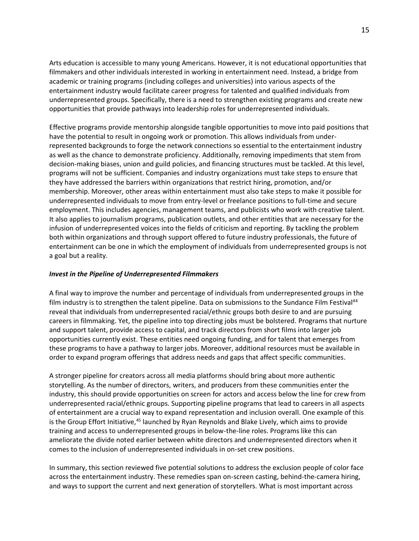Arts education is accessible to many young Americans. However, it is not educational opportunities that filmmakers and other individuals interested in working in entertainment need. Instead, a bridge from academic or training programs (including colleges and universities) into various aspects of the entertainment industry would facilitate career progress for talented and qualified individuals from underrepresented groups. Specifically, there is a need to strengthen existing programs and create new opportunities that provide pathways into leadership roles for underrepresented individuals.

Effective programs provide mentorship alongside tangible opportunities to move into paid positions that have the potential to result in ongoing work or promotion. This allows individuals from underrepresented backgrounds to forge the network connections so essential to the entertainment industry as well as the chance to demonstrate proficiency. Additionally, removing impediments that stem from decision-making biases, union and guild policies, and financing structures must be tackled. At this level, programs will not be sufficient. Companies and industry organizations must take steps to ensure that they have addressed the barriers within organizations that restrict hiring, promotion, and/or membership. Moreover, other areas within entertainment must also take steps to make it possible for underrepresented individuals to move from entry-level or freelance positions to full-time and secure employment. This includes agencies, management teams, and publicists who work with creative talent. It also applies to journalism programs, publication outlets, and other entities that are necessary for the infusion of underrepresented voices into the fields of criticism and reporting. By tackling the problem both within organizations and through support offered to future industry professionals, the future of entertainment can be one in which the employment of individuals from underrepresented groups is not a goal but a reality.

## *Invest in the Pipeline of Underrepresented Filmmakers*

A final way to improve the number and percentage of individuals from underrepresented groups in the film industry is to strengthen the talent pipeline. Data on submissions to the Sundance Film Festival<sup>44</sup> reveal that individuals from underrepresented racial/ethnic groups both desire to and are pursuing careers in filmmaking. Yet, the pipeline into top directing jobs must be bolstered. Programs that nurture and support talent, provide access to capital, and track directors from short films into larger job opportunities currently exist. These entities need ongoing funding, and for talent that emerges from these programs to have a pathway to larger jobs. Moreover, additional resources must be available in order to expand program offerings that address needs and gaps that affect specific communities.

A stronger pipeline for creators across all media platforms should bring about more authentic storytelling. As the number of directors, writers, and producers from these communities enter the industry, this should provide opportunities on screen for actors and access below the line for crew from underrepresented racial/ethnic groups. Supporting pipeline programs that lead to careers in all aspects of entertainment are a crucial way to expand representation and inclusion overall. One example of this is the Group Effort Initiative,<sup>45</sup> launched by Ryan Reynolds and Blake Lively, which aims to provide training and access to underrepresented groups in below-the-line roles. Programs like this can ameliorate the divide noted earlier between white directors and underrepresented directors when it comes to the inclusion of underrepresented individuals in on-set crew positions.

In summary, this section reviewed five potential solutions to address the exclusion people of color face across the entertainment industry. These remedies span on-screen casting, behind-the-camera hiring, and ways to support the current and next generation of storytellers. What is most important across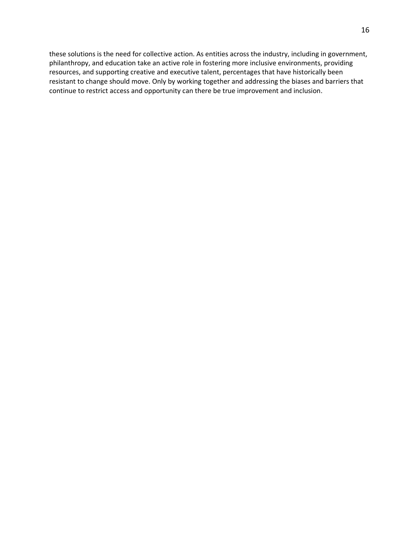these solutions is the need for collective action. As entities across the industry, including in government, philanthropy, and education take an active role in fostering more inclusive environments, providing resources, and supporting creative and executive talent, percentages that have historically been resistant to change should move. Only by working together and addressing the biases and barriers that continue to restrict access and opportunity can there be true improvement and inclusion.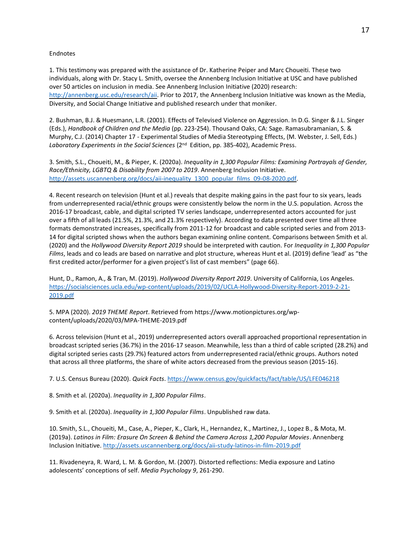#### Endnotes

1. This testimony was prepared with the assistance of Dr. Katherine Peiper and Marc Choueiti. These two individuals, along with Dr. Stacy L. Smith, oversee the Annenberg Inclusion Initiative at USC and have published over 50 articles on inclusion in media. See Annenberg Inclusion Initiative (2020) research: [http://annenberg.usc.edu/research/aii.](http://annenberg.usc.edu/research/aii) Prior to 2017, the Annenberg Inclusion Initiative was known as the Media, Diversity, and Social Change Initiative and published research under that moniker.

2. Bushman, B.J. & Huesmann, L.R. (2001). Effects of Televised Violence on Aggression. In D.G. Singer & J.L. Singer (Eds.), *Handbook of Children and the Media* (pp. 223-254). Thousand Oaks, CA: Sage. Ramasubramanian, S. & Murphy, C.J. (2014) Chapter 17 - Experimental Studies of Media Stereotyping Effects, (M. Webster, J. Sell, Eds.) Laboratory Experiments in the Social Sciences (2<sup>nd</sup> Edition, pp. 385-402), Academic Press.

3. Smith, S.L., Choueiti, M., & Pieper, K. (2020a). *Inequality in 1,300 Popular Films: Examining Portrayals of Gender, Race/Ethnicity, LGBTQ & Disability from 2007 to 2019*. Annenberg Inclusion Initiative. [http://assets.uscannenberg.org/docs/aii-inequality\\_1300\\_popular\\_films\\_09-08-2020.pdf.](http://assets.uscannenberg.org/docs/aii-inequality_1300_popular_films_09-08-2020.pdf)

4. Recent research on television (Hunt et al.) reveals that despite making gains in the past four to six years, leads from underrepresented racial/ethnic groups were consistently below the norm in the U.S. population. Across the 2016-17 broadcast, cable, and digital scripted TV series landscape, underrepresented actors accounted for just over a fifth of all leads (21.5%, 21.3%, and 21.3% respectively). According to data presented over time all three formats demonstrated increases, specifically from 2011-12 for broadcast and cable scripted series and from 2013- 14 for digital scripted shows when the authors began examining online content. Comparisons between Smith et al. (2020) and the *Hollywood Diversity Report 2019* should be interpreted with caution. For *Inequality in 1,300 Popular Films*, leads and co leads are based on narrative and plot structure, whereas Hunt et al. (2019) define 'lead' as "the first credited actor/performer for a given project's list of cast members" (page 66).

Hunt, D., Ramon, A., & Tran, M. (2019). *Hollywood Diversity Report 2019*. University of California, Los Angeles. [https://socialsciences.ucla.edu/wp-content/uploads/2019/02/UCLA-Hollywood-Diversity-Report-2019-2-21-](https://socialsciences.ucla.edu/wp-content/uploads/2019/02/UCLA-Hollywood-Diversity-Report-2019-2-21-2019.pdf) [2019.pdf](https://socialsciences.ucla.edu/wp-content/uploads/2019/02/UCLA-Hollywood-Diversity-Report-2019-2-21-2019.pdf)

5. MPA (2020). *2019 THEME Report*. Retrieved from https://www.motionpictures.org/wpcontent/uploads/2020/03/MPA-THEME-2019.pdf

6. Across television (Hunt et al., 2019) underrepresented actors overall approached proportional representation in broadcast scripted series (36.7%) in the 2016-17 season. Meanwhile, less than a third of cable scripted (28.2%) and digital scripted series casts (29.7%) featured actors from underrepresented racial/ethnic groups. Authors noted that across all three platforms, the share of white actors decreased from the previous season (2015-16).

7. U.S. Census Bureau (2020). *Quick Facts*[. https://www.census.gov/quickfacts/fact/table/US/LFE046218](https://www.census.gov/quickfacts/fact/table/US/LFE046218)

8. Smith et al. (2020a). *Inequality in 1,300 Popular Films*.

9. Smith et al. (2020a). *Inequality in 1,300 Popular Films*. Unpublished raw data.

10. Smith, S.L., Choueiti, M., Case, A., Pieper, K., Clark, H., Hernandez, K., Martinez, J., Lopez B., & Mota, M. (2019a). *Latinos in Film: Erasure On Screen & Behind the Camera Across 1,200 Popular Movies*. Annenberg Inclusion Initiative.<http://assets.uscannenberg.org/docs/aii-study-latinos-in-film-2019.pdf>

11. Rivadeneyra, R. Ward, L. M. & Gordon, M. (2007). Distorted reflections: Media exposure and Latino adolescents' conceptions of self. *Media Psychology 9*, 261-290.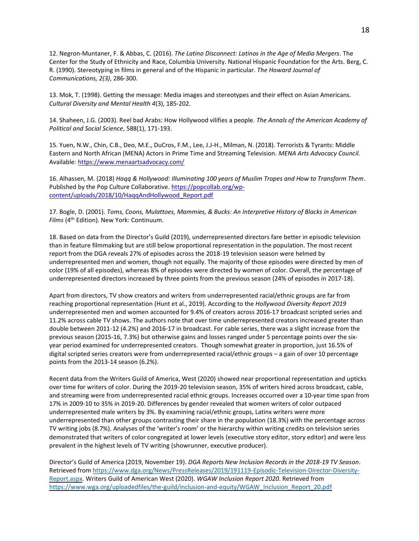12. Negron-Muntaner, F. & Abbas, C. (2016). *The Latino Disconnect: Latinos in the Age of Media Mergers*. The Center for the Study of Ethnicity and Race, Columbia University. National Hispanic Foundation for the Arts. Berg, C. R. (1990). Stereotyping in films in general and of the Hispanic in particular. *The Howard Journal of Communications, 2(3)*, 286-300.

13. Mok, T. (1998). Getting the message: Media images and stereotypes and their effect on Asian Americans. *Cultural Diversity and Mental Health 4*(3), 185-202.

14. Shaheen, J.G. (2003). Reel bad Arabs: How Hollywood vilifies a people. *The Annals of the American Academy of Political and Social Science*, 588(1), 171-193.

15. Yuen, N.W., Chin, C.B., Deo, M.E., DuCros, F.M., Lee, J.J-H., Milman, N. (2018). Terrorists & Tyrants: Middle Eastern and North African (MENA) Actors in Prime Time and Streaming Television. *MENA Arts Advocacy Council.*  Available:<https://www.menaartsadvocacy.com/>

16. Alhassen, M. (2018) *Haqq & Hollywood: Illuminating 100 years of Muslim Tropes and How to Transform Them*. Published by the Pop Culture Collaborative[. https://popcollab.org/wp](https://popcollab.org/wp-content/uploads/2018/10/HaqqAndHollywood_Report.pdf)[content/uploads/2018/10/HaqqAndHollywood\\_Report.pdf](https://popcollab.org/wp-content/uploads/2018/10/HaqqAndHollywood_Report.pdf)

17. Bogle, D. (2001). *Toms, Coons, Mulattoes, Mammies, & Bucks: An Interpretive History of Blacks in American Films* (4th Edition). New York: Continuum.

18. Based on data from the Director's Guild (2019), underrepresented directors fare better in episodic television than in feature filmmaking but are still below proportional representation in the population. The most recent report from the DGA reveals 27% of episodes across the 2018-19 television season were helmed by underrepresented men and women, though not equally. The majority of those episodes were directed by men of color (19% of all episodes), whereas 8% of episodes were directed by women of color. Overall, the percentage of underrepresented directors increased by three points from the previous season (24% of episodes in 2017-18).

Apart from directors, TV show creators and writers from underrepresented racial/ethnic groups are far from reaching proportional representation (Hunt et al., 2019). According to the *Hollywood Diversity Report 2019* underrepresented men and women accounted for 9.4% of creators across 2016-17 broadcast scripted series and 11.2% across cable TV shows. The authors note that over time underrepresented creators increased greater than double between 2011-12 (4.2%) and 2016-17 in broadcast. For cable series, there was a slight increase from the previous season (2015-16, 7.3%) but otherwise gains and losses ranged under 5 percentage points over the sixyear period examined for underrepresented creators. Though somewhat greater in proportion, just 16.5% of digital scripted series creators were from underrepresented racial/ethnic groups – a gain of over 10 percentage points from the 2013-14 season (6.2%).

Recent data from the Writers Guild of America, West (2020) showed near proportional representation and upticks over time for writers of color. During the 2019-20 television season, 35% of writers hired across broadcast, cable, and streaming were from underrepresented racial ethnic groups. Increases occurred over a 10-year time span from 17% in 2009-10 to 35% in 2019-20. Differences by gender revealed that women writers of color outpaced underrepresented male writers by 3%. By examining racial/ethnic groups, Latinx writers were more underrepresented than other groups contrasting their share in the population (18.3%) with the percentage across TV writing jobs (8.7%). Analyses of the 'writer's room' or the hierarchy within writing credits on television series demonstrated that writers of color congregated at lower levels (executive story editor, story editor) and were less prevalent in the highest levels of TV writing (showrunner, executive producer).

Director's Guild of America (2019, November 19). *DGA Reports New Inclusion Records in the 2018-19 TV Season*. Retrieved fro[m https://www.dga.org/News/PressReleases/2019/191119-Episodic-Television-Director-Diversity-](https://www.dga.org/News/PressReleases/2019/191119-Episodic-Television-Director-Diversity-Report.aspx)[Report.aspx.](https://www.dga.org/News/PressReleases/2019/191119-Episodic-Television-Director-Diversity-Report.aspx) Writers Guild of American West (2020). *WGAW Inclusion Report 2020*. Retrieved from [https://www.wga.org/uploadedfiles/the-guild/inclusion-and-equity/WGAW\\_Inclusion\\_Report\\_20.pdf](https://www.wga.org/uploadedfiles/the-guild/inclusion-and-equity/WGAW_Inclusion_Report_20.pdf)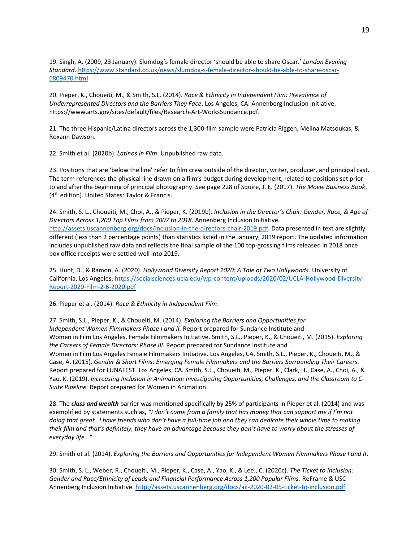19. Singh, A. (2009, 23 January). Slumdog's female director 'should be able to share Oscar.' *London Evening Standard.* [https://www.standard.co.uk/news/slumdog-s-female-director-should-be-able-to-share-oscar-](https://www.standard.co.uk/news/slumdog-s-female-director-should-be-able-to-share-oscar-6809470.html)[6809470.html](https://www.standard.co.uk/news/slumdog-s-female-director-should-be-able-to-share-oscar-6809470.html)

20. Pieper, K., Choueiti, M., & Smith, S.L. (2014). *Race & Ethnicity in Independent Film: Prevalence of Underrepresented Directors and the Barriers They Face*. Los Angeles, CA: Annenberg Inclusion Initiative. https://www.arts.gov/sites/default/files/Research-Art-WorksSundance.pdf.

21. The three Hispanic/Latina directors across the 1,300-film sample were Patricia Riggen, Melina Matsoukas, & Roxann Dawson.

22. Smith et al. (2020b). *Latinos in Film*. Unpublished raw data.

23. Positions that are 'below the line' refer to film crew outside of the director, writer, producer, and principal cast. The term references the physical line drawn on a film's budget during development, related to positions set prior to and after the beginning of principal photography. See page 228 of Squire, J. E. (2017). *The Movie Business Book*. (4th edition). United States: Taylor & Francis.

24. Smith, S. L., Choueiti, M., Choi, A., & Pieper, K. (2019b). *Inclusion in the Director's Chair: Gender, Race, & Age of Directors Across 1,200 Top Films from 2007 to 2018*. Annenberg Inclusion Initiative. [http://assets.uscannenberg.org/docs/inclusion-in-the-directors-chair-2019.pdf.](http://assets.uscannenberg.org/docs/inclusion-in-the-directors-chair-2019.pdf) Data presented in text are slightly different (less than 2 percentage points) than statistics listed in the January, 2019 report. The updated information includes unpublished raw data and reflects the final sample of the 100 top-grossing films released in 2018 once box office receipts were settled well into 2019.

25. Hunt, D., & Ramon, A. (2020). *Hollywood Diversity Report 2020: A Tale of Two Hollywoods*. University of California, Los Angeles. [https://socialsciences.ucla.edu/wp-content/uploads/2020/02/UCLA-Hollywood-Diversity-](https://socialsciences.ucla.edu/wp-content/uploads/2020/02/UCLA-Hollywood-Diversity-Report-2020-Film-2-6-2020.pdf)[Report-2020-Film-2-6-2020.pdf](https://socialsciences.ucla.edu/wp-content/uploads/2020/02/UCLA-Hollywood-Diversity-Report-2020-Film-2-6-2020.pdf)

26. Pieper et al. (2014). *Race & Ethnicity in Independent Film*.

27. Smith, S.L., Pieper, K., & Choueiti, M. (2014). *Exploring the Barriers and Opportunities for Independent Women Filmmakers Phase I and II.* Report prepared for Sundance Institute and Women in Film Los Angeles, Female Filmmakers Initiative. Smith, S.L., Pieper, K., & Choueiti, M. (2015). *Exploring the Careers of Female Directors: Phase III.* Report prepared for Sundance Institute and Women in Film Los Angeles Female Filmmakers Initiative. Los Angeles, CA. Smith, S.L., Pieper, K., Choueiti, M., & Case, A. (2015). *Gender & Short Films: Emerging Female Filmmakers and the Barriers Surrounding Their Careers.* Report prepared for LUNAFEST. Los Angeles, CA. Smith, S.L., Choueiti, M., Pieper, K., Clark, H., Case, A., Choi, A., & Yao, K. (2019). *Increasing Inclusion in Animation: Investigating Opportunities, Challenges, and the Classroom to C-Suite Pipeline.* Report prepared for Women in Animation.

28. The *class and wealth* barrier was mentioned specifically by 25% of participants in Pieper et al. (2014) and was exemplified by statements such as, *"I don't come from a family that has money that can support me if I'm not doing that great…I have friends who don't have a full-time job and they can dedicate their whole time to making their film and that's definitely, they have an advantage because they don't have to worry about the stresses of everyday life…"*

29. Smith et al. (2014). *Exploring the Barriers and Opportunities for Independent Women Filmmakers Phase I and II*.

30. Smith, S. L., Weber, R., Choueiti, M., Pieper, K., Case, A., Yao, K., & Lee., C. (2020c). *The Ticket to Inclusion: Gender and Race/Ethnicity of Leads and Financial Performance Across 1,200 Popular Films.* ReFrame & USC Annenberg Inclusion Initiative.<http://assets.uscannenberg.org/docs/aii-2020-02-05-ticket-to-inclusion.pdf>